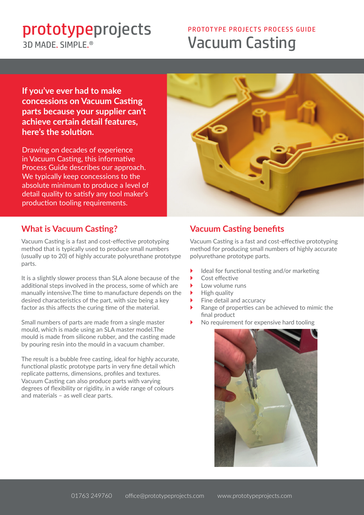3D MADE SIMPLE<sup>®</sup>

# **Prototypeprojects**<br> **EXECUUM Casting** PROTOTYPE PROJECTS PROCESS GUIDE

**If you've ever had to make concessions on Vacuum Casting parts because your supplier can't achieve certain detail features, here's the solution.**

Drawing on decades of experience in Vacuum Casting, this informative Process Guide describes our approach. We typically keep concessions to the absolute minimum to produce a level of detail quality to satisfy any tool maker's production tooling requirements.



## **What is Vacuum Casting?**

Vacuum Casting is a fast and cost-effective prototyping method that is typically used to produce small numbers (usually up to 20) of highly accurate polyurethane prototype parts.

It is a slightly slower process than SLA alone because of the additional steps involved in the process, some of which are manually intensive.The time to manufacture depends on the desired characteristics of the part, with size being a key factor as this affects the curing time of the material.

Small numbers of parts are made from a single master mould, which is made using an SLA master model.The mould is made from silicone rubber, and the casting made by pouring resin into the mould in a vacuum chamber.

The result is a bubble free casting, ideal for highly accurate, functional plastic prototype parts in very fine detail which replicate patterns, dimensions, profiles and textures. Vacuum Casting can also produce parts with varying degrees of flexibility or rigidity, in a wide range of colours and materials – as well clear parts.

## **Vacuum Casting benefits**

Vacuum Casting is a fast and cost-effective prototyping method for producing small numbers of highly accurate polyurethane prototype parts.

- Ideal for functional testing and/or marketing
- Cost effective
- Low volume runs
- High quality
- Fine detail and accuracy
- Range of properties can be achieved to mimic the final product
- No requirement for expensive hard tooling